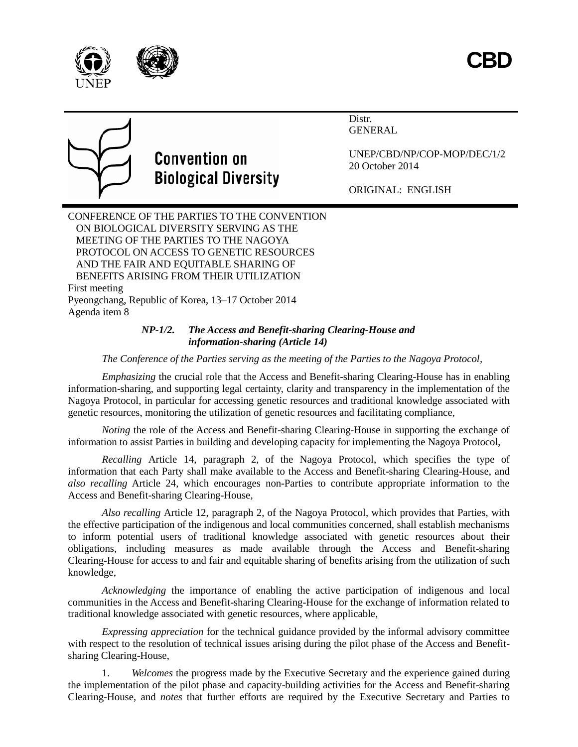



# **Convention on Biological Diversity**

Distr. GENERAL

UNEP/CBD/NP/COP-MOP/DEC/1/2 20 October 2014

ORIGINAL: ENGLISH

CONFERENCE OF THE PARTIES TO THE CONVENTION ON BIOLOGICAL DIVERSITY SERVING AS THE MEETING OF THE PARTIES TO THE NAGOYA PROTOCOL ON ACCESS TO GENETIC RESOURCES AND THE FAIR AND EQUITABLE SHARING OF BENEFITS ARISING FROM THEIR UTILIZATION First meeting Pyeongchang, Republic of Korea, 13–17 October 2014 Agenda item 8

# *NP-1/2. The Access and Benefit-sharing Clearing-House and information-sharing (Article 14)*

*The Conference of the Parties serving as the meeting of the Parties to the Nagoya Protocol,*

*Emphasizing* the crucial role that the Access and Benefit-sharing Clearing-House has in enabling information-sharing, and supporting legal certainty, clarity and transparency in the implementation of the Nagoya Protocol, in particular for accessing genetic resources and traditional knowledge associated with genetic resources, monitoring the utilization of genetic resources and facilitating compliance,

*Noting* the role of the Access and Benefit-sharing Clearing-House in supporting the exchange of information to assist Parties in building and developing capacity for implementing the Nagoya Protocol,

*Recalling* Article 14, paragraph 2, of the Nagoya Protocol, which specifies the type of information that each Party shall make available to the Access and Benefit-sharing Clearing-House, and *also recalling* Article 24, which encourages non-Parties to contribute appropriate information to the Access and Benefit-sharing Clearing-House,

*Also recalling* Article 12, paragraph 2, of the Nagoya Protocol, which provides that Parties, with the effective participation of the indigenous and local communities concerned, shall establish mechanisms to inform potential users of traditional knowledge associated with genetic resources about their obligations, including measures as made available through the Access and Benefit-sharing Clearing-House for access to and fair and equitable sharing of benefits arising from the utilization of such knowledge,

*Acknowledging* the importance of enabling the active participation of indigenous and local communities in the Access and Benefit-sharing Clearing-House for the exchange of information related to traditional knowledge associated with genetic resources, where applicable,

*Expressing appreciation* for the technical guidance provided by the informal advisory committee with respect to the resolution of technical issues arising during the pilot phase of the Access and Benefitsharing Clearing-House,

1. *Welcomes* the progress made by the Executive Secretary and the experience gained during the implementation of the pilot phase and capacity-building activities for the Access and Benefit-sharing Clearing-House, and *notes* that further efforts are required by the Executive Secretary and Parties to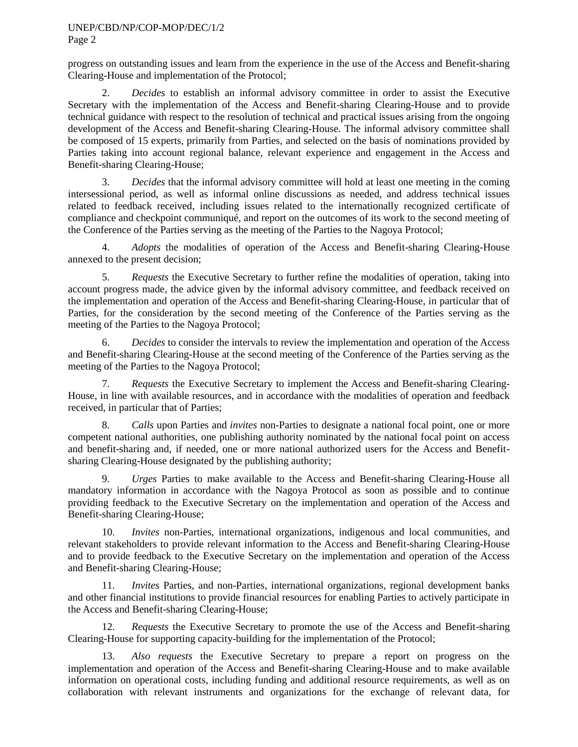## UNEP/CBD/NP/COP-MOP/DEC/1/2

Page 2

progress on outstanding issues and learn from the experience in the use of the Access and Benefit-sharing Clearing-House and implementation of the Protocol;

2. *Decides* to establish an informal advisory committee in order to assist the Executive Secretary with the implementation of the Access and Benefit-sharing Clearing-House and to provide technical guidance with respect to the resolution of technical and practical issues arising from the ongoing development of the Access and Benefit-sharing Clearing-House. The informal advisory committee shall be composed of 15 experts, primarily from Parties, and selected on the basis of nominations provided by Parties taking into account regional balance, relevant experience and engagement in the Access and Benefit-sharing Clearing-House;

3. *Decides* that the informal advisory committee will hold at least one meeting in the coming intersessional period, as well as informal online discussions as needed, and address technical issues related to feedback received, including issues related to the internationally recognized certificate of compliance and checkpoint communiqué, and report on the outcomes of its work to the second meeting of the Conference of the Parties serving as the meeting of the Parties to the Nagoya Protocol;

4. *Adopts* the modalities of operation of the Access and Benefit-sharing Clearing-House annexed to the present decision;

5. *Requests* the Executive Secretary to further refine the modalities of operation, taking into account progress made, the advice given by the informal advisory committee, and feedback received on the implementation and operation of the Access and Benefit-sharing Clearing-House, in particular that of Parties, for the consideration by the second meeting of the Conference of the Parties serving as the meeting of the Parties to the Nagoya Protocol;

6. *Decides* to consider the intervals to review the implementation and operation of the Access and Benefit-sharing Clearing-House at the second meeting of the Conference of the Parties serving as the meeting of the Parties to the Nagoya Protocol;

7. *Requests* the Executive Secretary to implement the Access and Benefit-sharing Clearing-House, in line with available resources, and in accordance with the modalities of operation and feedback received, in particular that of Parties;

8. *Calls* upon Parties and *invites* non-Parties to designate a national focal point, one or more competent national authorities, one publishing authority nominated by the national focal point on access and benefit-sharing and, if needed, one or more national authorized users for the Access and Benefitsharing Clearing-House designated by the publishing authority;

9. *Urges* Parties to make available to the Access and Benefit-sharing Clearing-House all mandatory information in accordance with the Nagoya Protocol as soon as possible and to continue providing feedback to the Executive Secretary on the implementation and operation of the Access and Benefit-sharing Clearing-House;

10. *Invites* non-Parties, international organizations, indigenous and local communities, and relevant stakeholders to provide relevant information to the Access and Benefit-sharing Clearing-House and to provide feedback to the Executive Secretary on the implementation and operation of the Access and Benefit-sharing Clearing-House;

11. *Invites* Parties, and non-Parties, international organizations, regional development banks and other financial institutions to provide financial resources for enabling Parties to actively participate in the Access and Benefit-sharing Clearing-House;

12. *Requests* the Executive Secretary to promote the use of the Access and Benefit-sharing Clearing-House for supporting capacity-building for the implementation of the Protocol;

13. *Also requests* the Executive Secretary to prepare a report on progress on the implementation and operation of the Access and Benefit-sharing Clearing-House and to make available information on operational costs, including funding and additional resource requirements, as well as on collaboration with relevant instruments and organizations for the exchange of relevant data, for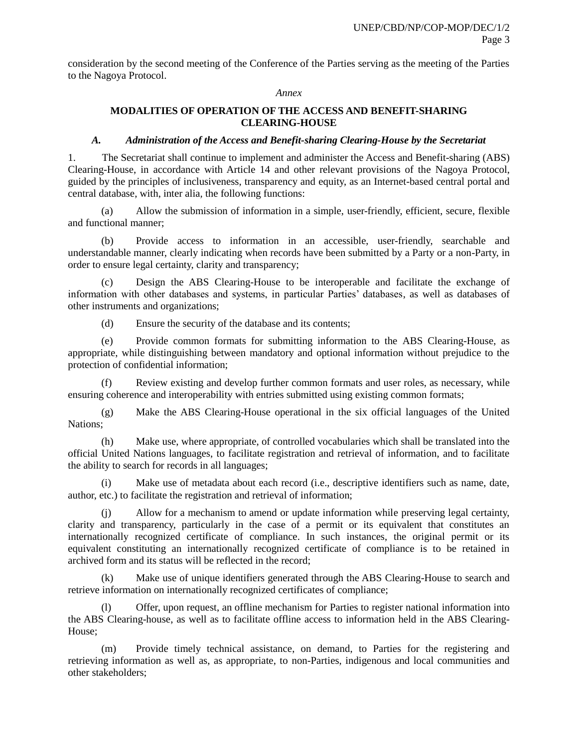consideration by the second meeting of the Conference of the Parties serving as the meeting of the Parties to the Nagoya Protocol.

#### *Annex*

## **MODALITIES OF OPERATION OF THE ACCESS AND BENEFIT-SHARING CLEARING-HOUSE**

## *A. Administration of the Access and Benefit-sharing Clearing-House by the Secretariat*

1. The Secretariat shall continue to implement and administer the Access and Benefit-sharing (ABS) Clearing-House, in accordance with Article 14 and other relevant provisions of the Nagoya Protocol, guided by the principles of inclusiveness, transparency and equity, as an Internet-based central portal and central database, with, inter alia*,* the following functions:

(a) Allow the submission of information in a simple, user-friendly, efficient, secure, flexible and functional manner;

(b) Provide access to information in an accessible, user-friendly, searchable and understandable manner, clearly indicating when records have been submitted by a Party or a non-Party, in order to ensure legal certainty, clarity and transparency;

(c) Design the ABS Clearing-House to be interoperable and facilitate the exchange of information with other databases and systems, in particular Parties' databases, as well as databases of other instruments and organizations;

(d) Ensure the security of the database and its contents;

(e) Provide common formats for submitting information to the ABS Clearing-House, as appropriate, while distinguishing between mandatory and optional information without prejudice to the protection of confidential information;

(f) Review existing and develop further common formats and user roles, as necessary, while ensuring coherence and interoperability with entries submitted using existing common formats;

(g) Make the ABS Clearing-House operational in the six official languages of the United Nations;

(h) Make use, where appropriate, of controlled vocabularies which shall be translated into the official United Nations languages, to facilitate registration and retrieval of information, and to facilitate the ability to search for records in all languages;

(i) Make use of metadata about each record (i.e., descriptive identifiers such as name, date, author, etc.) to facilitate the registration and retrieval of information;

Allow for a mechanism to amend or update information while preserving legal certainty, clarity and transparency, particularly in the case of a permit or its equivalent that constitutes an internationally recognized certificate of compliance. In such instances, the original permit or its equivalent constituting an internationally recognized certificate of compliance is to be retained in archived form and its status will be reflected in the record;

(k) Make use of unique identifiers generated through the ABS Clearing-House to search and retrieve information on internationally recognized certificates of compliance;

(l) Offer, upon request, an offline mechanism for Parties to register national information into the ABS Clearing-house, as well as to facilitate offline access to information held in the ABS Clearing-House;

(m) Provide timely technical assistance, on demand, to Parties for the registering and retrieving information as well as, as appropriate, to non-Parties, indigenous and local communities and other stakeholders;